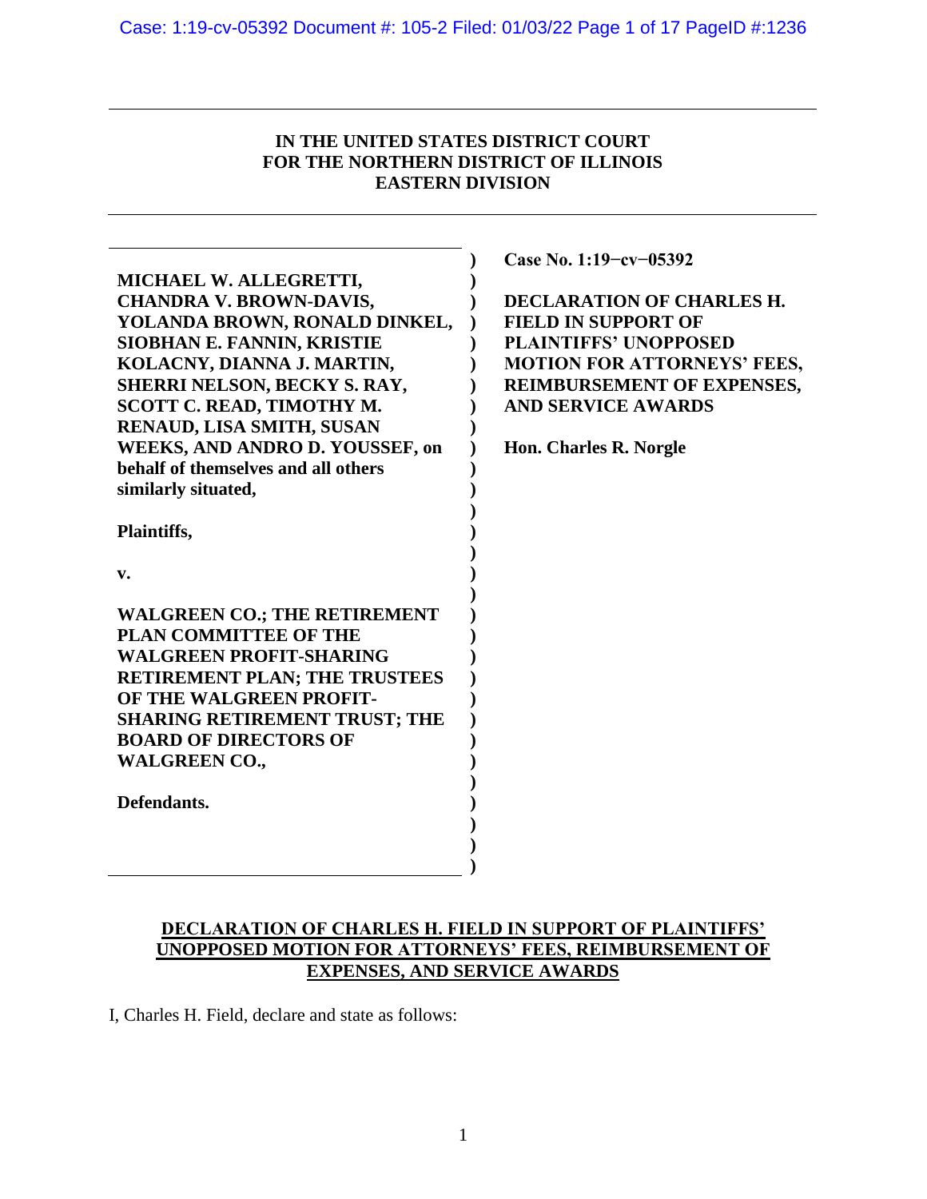# **IN THE UNITED STATES DISTRICT COURT FOR THE NORTHERN DISTRICT OF ILLINOIS EASTERN DIVISION**

|                                                                     | Case No. 1:19-cv-05392             |
|---------------------------------------------------------------------|------------------------------------|
| MICHAEL W. ALLEGRETTI,                                              |                                    |
| <b>CHANDRA V. BROWN-DAVIS,</b>                                      | <b>DECLARATION OF CHARLES H.</b>   |
| YOLANDA BROWN, RONALD DINKEL,                                       | <b>FIELD IN SUPPORT OF</b>         |
| <b>SIOBHAN E. FANNIN, KRISTIE</b>                                   | <b>PLAINTIFFS' UNOPPOSED</b>       |
| KOLACNY, DIANNA J. MARTIN,                                          | <b>MOTION FOR ATTORNEYS' FEES,</b> |
| <b>SHERRI NELSON, BECKY S. RAY,</b>                                 | REIMBURSEMENT OF EXPENSES,         |
| <b>SCOTT C. READ, TIMOTHY M.</b>                                    | <b>AND SERVICE AWARDS</b>          |
| RENAUD, LISA SMITH, SUSAN                                           |                                    |
| <b>WEEKS, AND ANDRO D. YOUSSEF, on</b>                              | <b>Hon. Charles R. Norgle</b>      |
| behalf of themselves and all others                                 |                                    |
| similarly situated,                                                 |                                    |
|                                                                     |                                    |
| Plaintiffs,                                                         |                                    |
|                                                                     |                                    |
| v.                                                                  |                                    |
|                                                                     |                                    |
| <b>WALGREEN CO.; THE RETIREMENT</b><br><b>PLAN COMMITTEE OF THE</b> |                                    |
| <b>WALGREEN PROFIT-SHARING</b>                                      |                                    |
| <b>RETIREMENT PLAN; THE TRUSTEES</b>                                |                                    |
| OF THE WALGREEN PROFIT-                                             |                                    |
| <b>SHARING RETIREMENT TRUST; THE</b>                                |                                    |
| <b>BOARD OF DIRECTORS OF</b>                                        |                                    |
| <b>WALGREEN CO.,</b>                                                |                                    |
|                                                                     |                                    |
| Defendants.                                                         |                                    |
|                                                                     |                                    |
|                                                                     |                                    |
|                                                                     |                                    |
|                                                                     |                                    |

# **DECLARATION OF CHARLES H. FIELD IN SUPPORT OF PLAINTIFFS' UNOPPOSED MOTION FOR ATTORNEYS' FEES, REIMBURSEMENT OF EXPENSES, AND SERVICE AWARDS**

I, Charles H. Field, declare and state as follows:

Ĭ.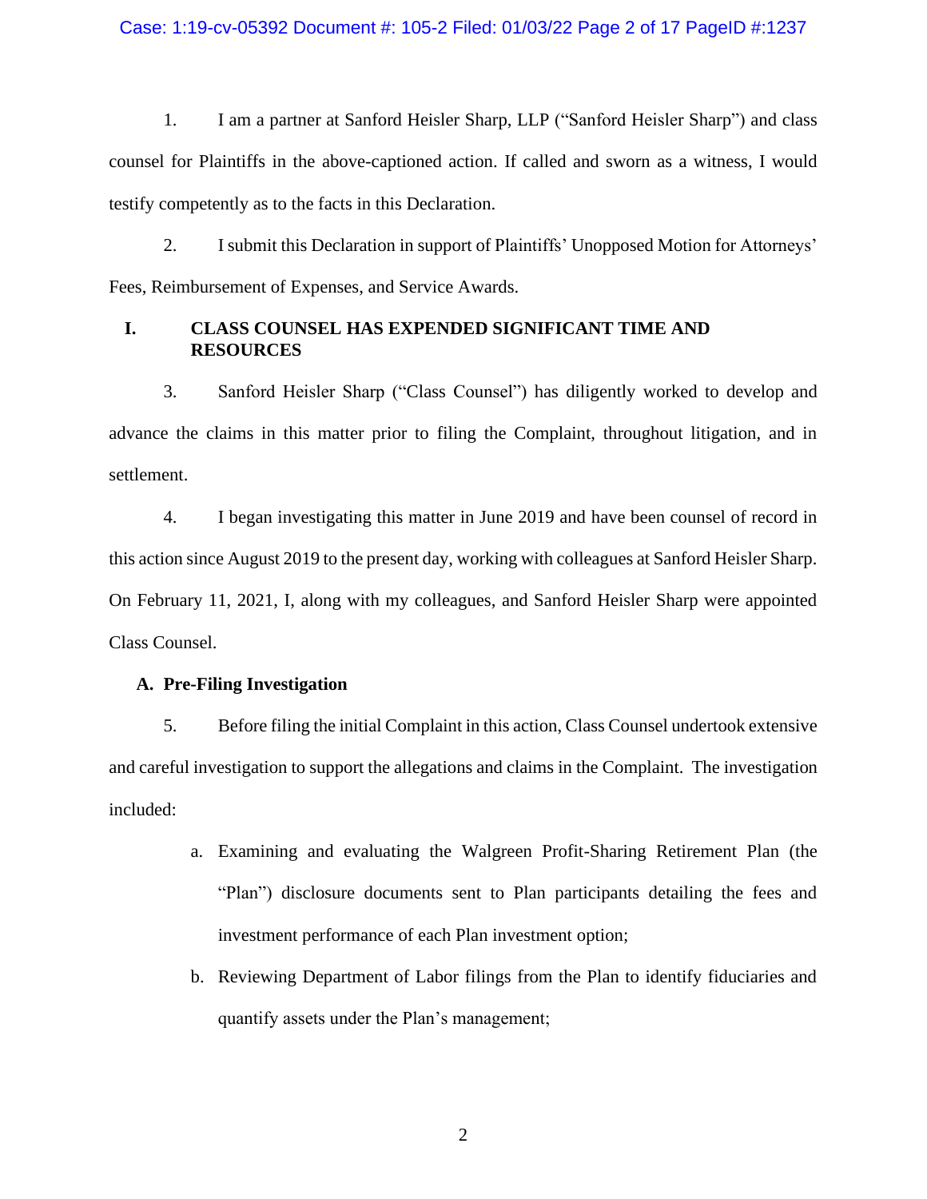### Case: 1:19-cv-05392 Document #: 105-2 Filed: 01/03/22 Page 2 of 17 PageID #:1237

1. I am a partner at Sanford Heisler Sharp, LLP ("Sanford Heisler Sharp") and class counsel for Plaintiffs in the above-captioned action. If called and sworn as a witness, I would testify competently as to the facts in this Declaration.

2. I submit this Declaration in support of Plaintiffs' Unopposed Motion for Attorneys' Fees, Reimbursement of Expenses, and Service Awards.

## **I. CLASS COUNSEL HAS EXPENDED SIGNIFICANT TIME AND RESOURCES**

3. Sanford Heisler Sharp ("Class Counsel") has diligently worked to develop and advance the claims in this matter prior to filing the Complaint, throughout litigation, and in settlement.

4. I began investigating this matter in June 2019 and have been counsel of record in this action since August 2019 to the present day, working with colleagues at Sanford Heisler Sharp. On February 11, 2021, I, along with my colleagues, and Sanford Heisler Sharp were appointed Class Counsel.

## **A. Pre-Filing Investigation**

5. Before filing the initial Complaint in this action, Class Counsel undertook extensive and careful investigation to support the allegations and claims in the Complaint. The investigation included:

- a. Examining and evaluating the Walgreen Profit-Sharing Retirement Plan (the "Plan") disclosure documents sent to Plan participants detailing the fees and investment performance of each Plan investment option;
- b. Reviewing Department of Labor filings from the Plan to identify fiduciaries and quantify assets under the Plan's management;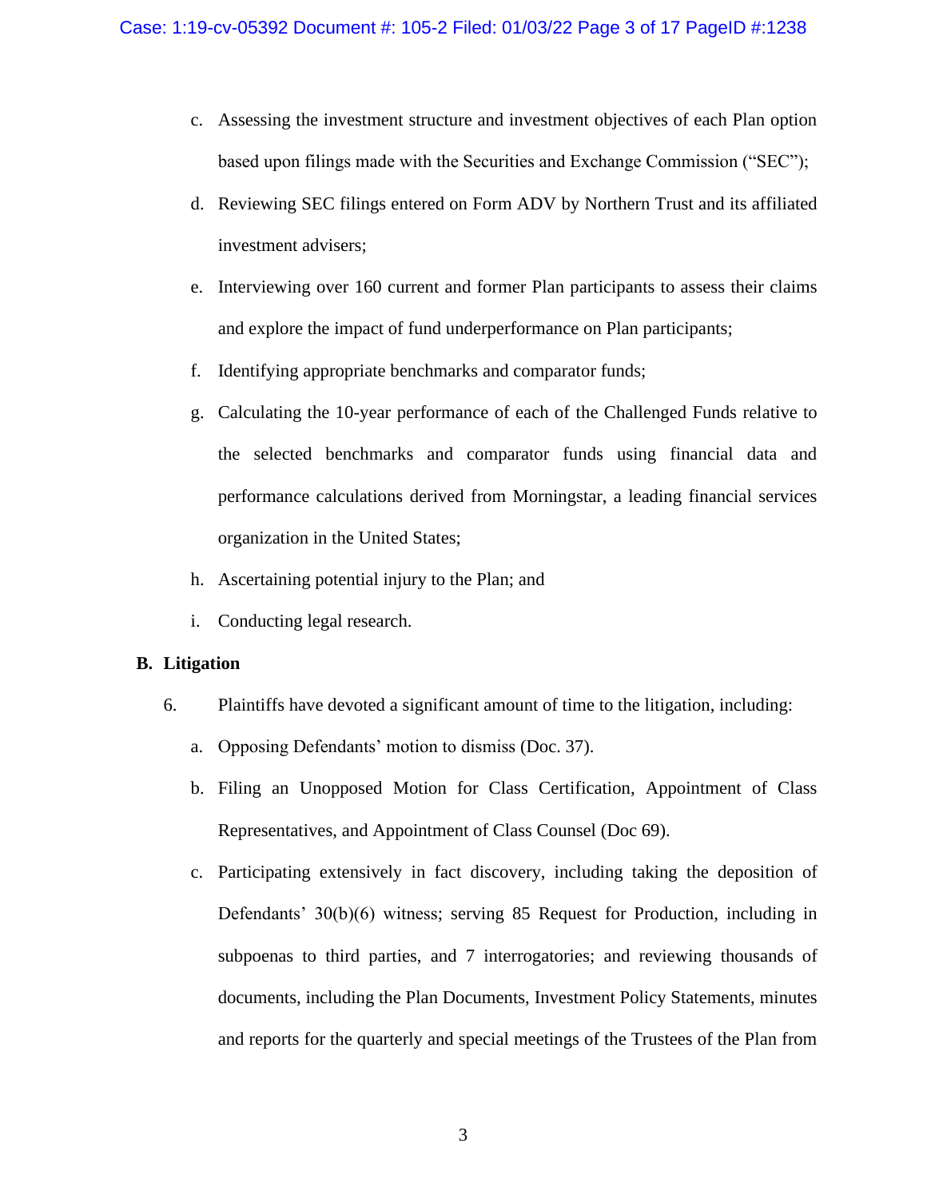- c. Assessing the investment structure and investment objectives of each Plan option based upon filings made with the Securities and Exchange Commission ("SEC");
- d. Reviewing SEC filings entered on Form ADV by Northern Trust and its affiliated investment advisers;
- e. Interviewing over 160 current and former Plan participants to assess their claims and explore the impact of fund underperformance on Plan participants;
- f. Identifying appropriate benchmarks and comparator funds;
- g. Calculating the 10-year performance of each of the Challenged Funds relative to the selected benchmarks and comparator funds using financial data and performance calculations derived from Morningstar, a leading financial services organization in the United States;
- h. Ascertaining potential injury to the Plan; and
- i. Conducting legal research.

### **B. Litigation**

- 6. Plaintiffs have devoted a significant amount of time to the litigation, including:
	- a. Opposing Defendants' motion to dismiss (Doc. 37).
	- b. Filing an Unopposed Motion for Class Certification, Appointment of Class Representatives, and Appointment of Class Counsel (Doc 69).
	- c. Participating extensively in fact discovery, including taking the deposition of Defendants' 30(b)(6) witness; serving 85 Request for Production, including in subpoenas to third parties, and 7 interrogatories; and reviewing thousands of documents, including the Plan Documents, Investment Policy Statements, minutes and reports for the quarterly and special meetings of the Trustees of the Plan from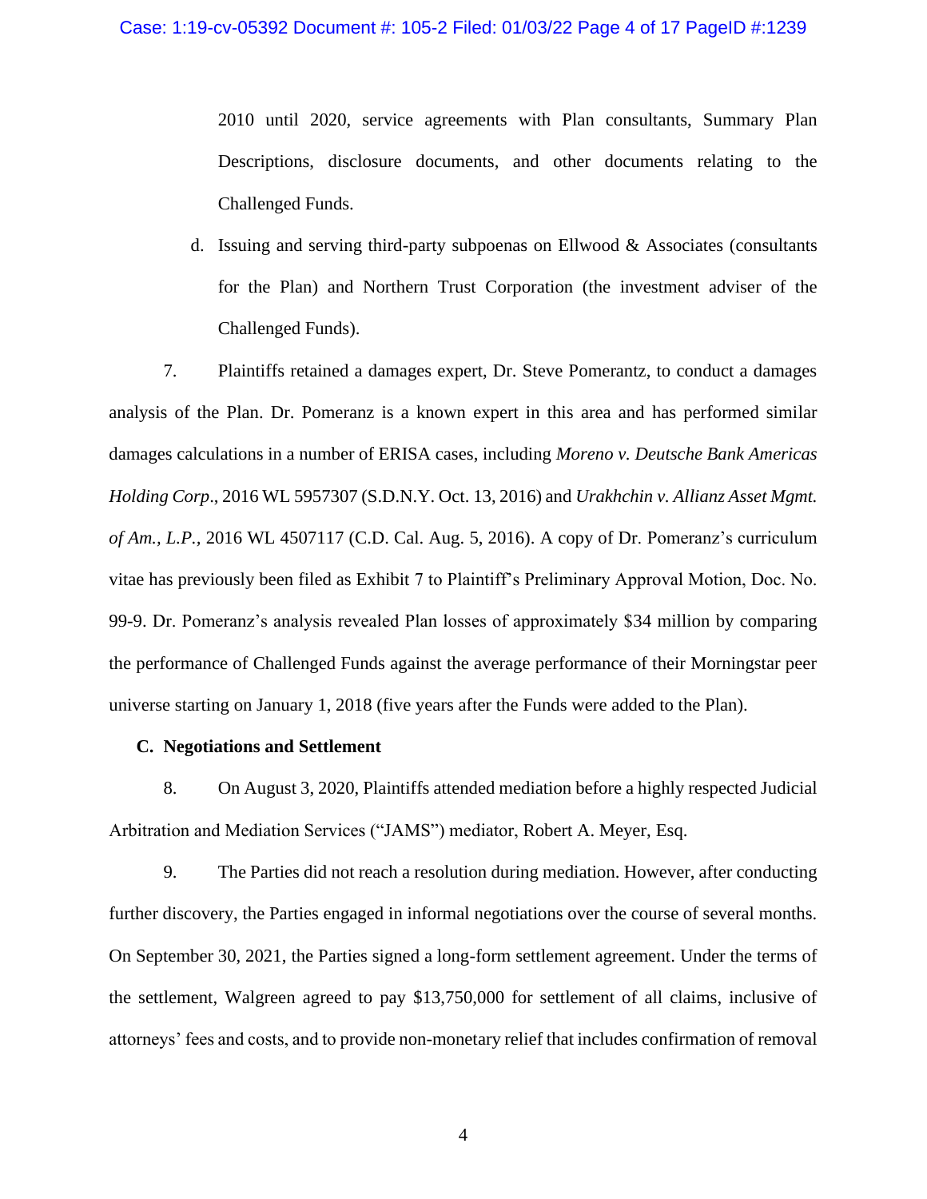2010 until 2020, service agreements with Plan consultants, Summary Plan Descriptions, disclosure documents, and other documents relating to the Challenged Funds.

d. Issuing and serving third-party subpoenas on Ellwood  $\&$  Associates (consultants for the Plan) and Northern Trust Corporation (the investment adviser of the Challenged Funds).

7. Plaintiffs retained a damages expert, Dr. Steve Pomerantz, to conduct a damages analysis of the Plan. Dr. Pomeranz is a known expert in this area and has performed similar damages calculations in a number of ERISA cases, including *Moreno v. Deutsche Bank Americas Holding Corp*., 2016 WL 5957307 (S.D.N.Y. Oct. 13, 2016) and *Urakhchin v. Allianz Asset Mgmt. of Am., L.P.,* 2016 WL 4507117 (C.D. Cal. Aug. 5, 2016). A copy of Dr. Pomeranz's curriculum vitae has previously been filed as Exhibit 7 to Plaintiff's Preliminary Approval Motion, Doc. No. 99-9. Dr. Pomeranz's analysis revealed Plan losses of approximately \$34 million by comparing the performance of Challenged Funds against the average performance of their Morningstar peer universe starting on January 1, 2018 (five years after the Funds were added to the Plan).

### **C. Negotiations and Settlement**

8. On August 3, 2020, Plaintiffs attended mediation before a highly respected Judicial Arbitration and Mediation Services ("JAMS") mediator, Robert A. Meyer, Esq.

9. The Parties did not reach a resolution during mediation. However, after conducting further discovery, the Parties engaged in informal negotiations over the course of several months. On September 30, 2021, the Parties signed a long-form settlement agreement. Under the terms of the settlement, Walgreen agreed to pay \$13,750,000 for settlement of all claims, inclusive of attorneys' fees and costs, and to provide non-monetary relief that includes confirmation of removal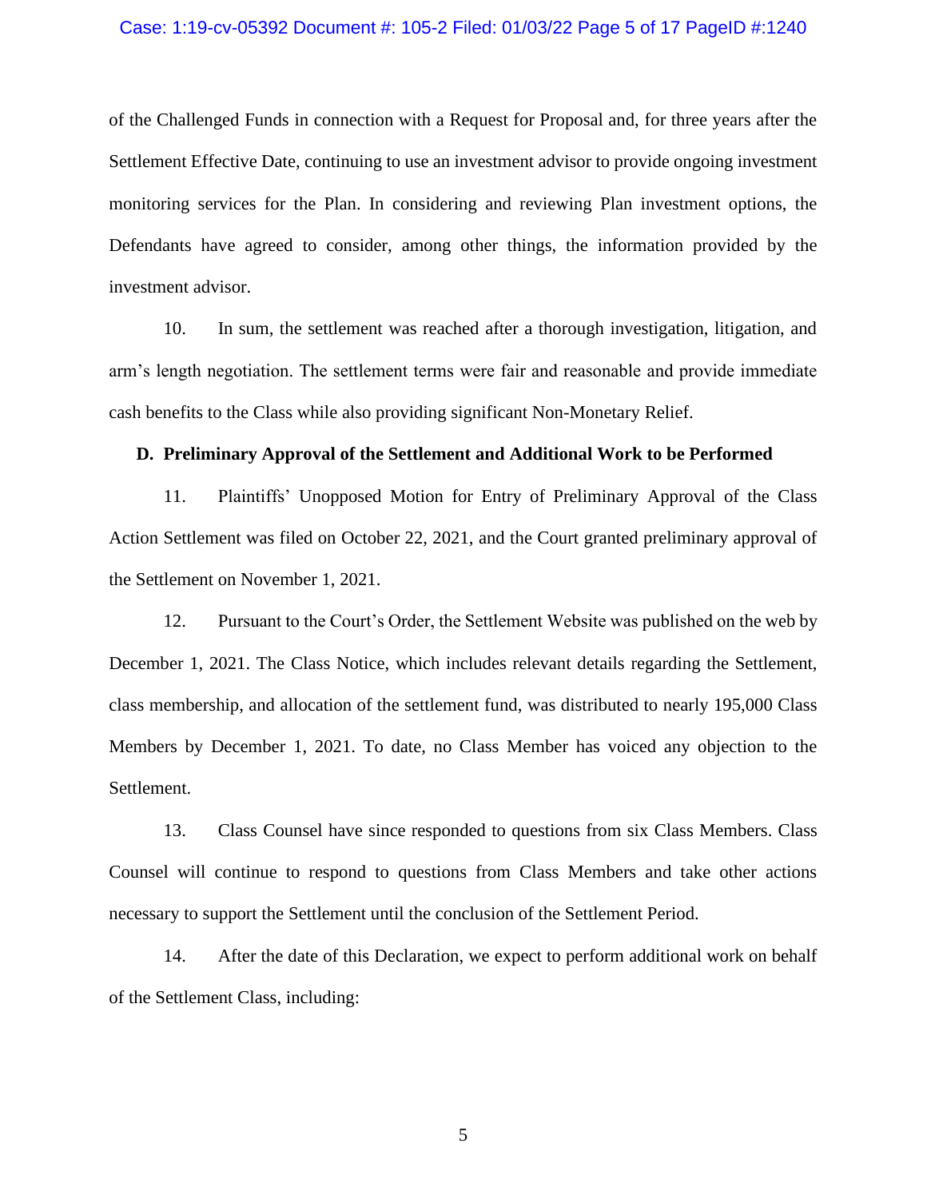#### Case: 1:19-cv-05392 Document #: 105-2 Filed: 01/03/22 Page 5 of 17 PageID #:1240

of the Challenged Funds in connection with a Request for Proposal and, for three years after the Settlement Effective Date, continuing to use an investment advisor to provide ongoing investment monitoring services for the Plan. In considering and reviewing Plan investment options, the Defendants have agreed to consider, among other things, the information provided by the investment advisor.

10. In sum, the settlement was reached after a thorough investigation, litigation, and arm's length negotiation. The settlement terms were fair and reasonable and provide immediate cash benefits to the Class while also providing significant Non-Monetary Relief.

#### **D. Preliminary Approval of the Settlement and Additional Work to be Performed**

11. Plaintiffs' Unopposed Motion for Entry of Preliminary Approval of the Class Action Settlement was filed on October 22, 2021, and the Court granted preliminary approval of the Settlement on November 1, 2021.

12. Pursuant to the Court's Order, the Settlement Website was published on the web by December 1, 2021. The Class Notice, which includes relevant details regarding the Settlement, class membership, and allocation of the settlement fund, was distributed to nearly 195,000 Class Members by December 1, 2021. To date, no Class Member has voiced any objection to the Settlement.

13. Class Counsel have since responded to questions from six Class Members. Class Counsel will continue to respond to questions from Class Members and take other actions necessary to support the Settlement until the conclusion of the Settlement Period.

14. After the date of this Declaration, we expect to perform additional work on behalf of the Settlement Class, including: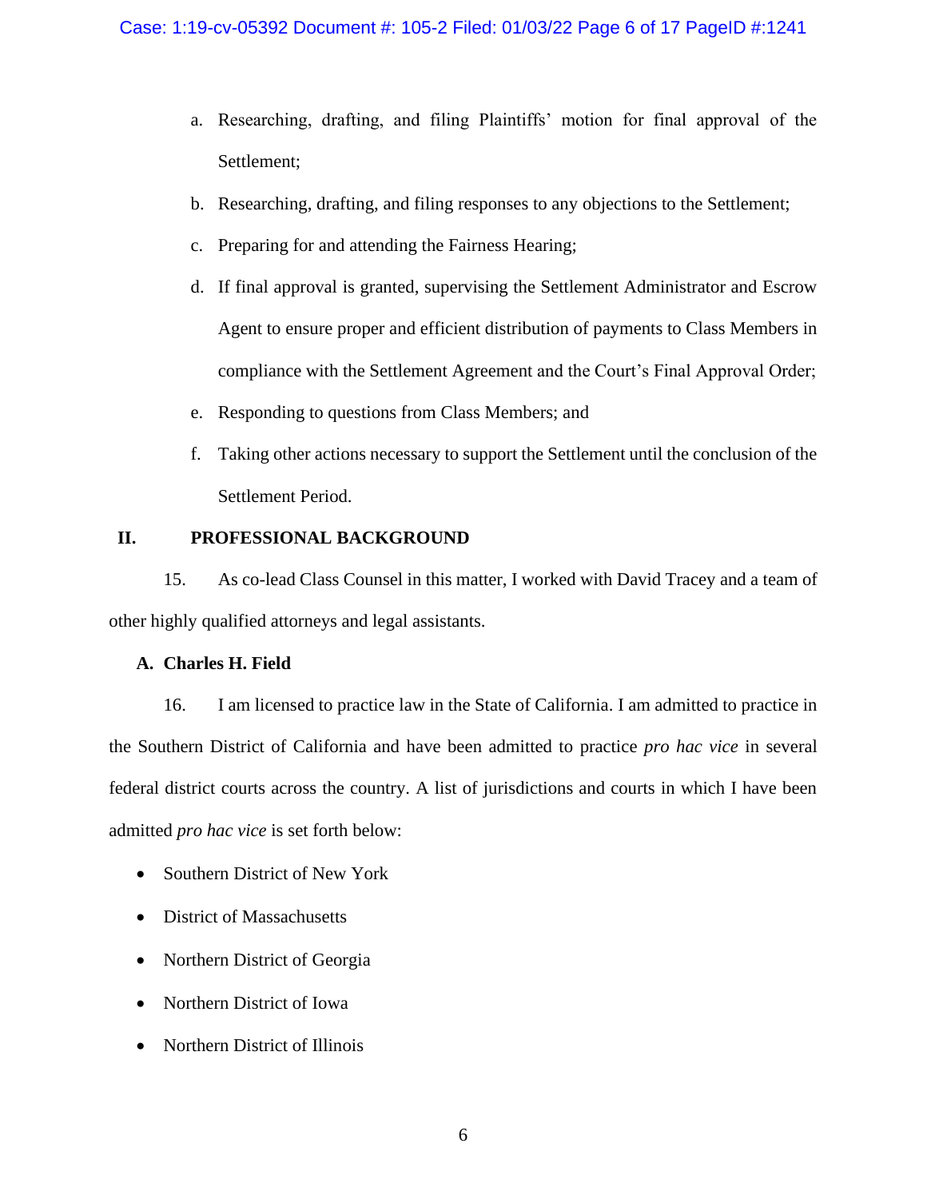- a. Researching, drafting, and filing Plaintiffs' motion for final approval of the Settlement;
- b. Researching, drafting, and filing responses to any objections to the Settlement;
- c. Preparing for and attending the Fairness Hearing;
- d. If final approval is granted, supervising the Settlement Administrator and Escrow Agent to ensure proper and efficient distribution of payments to Class Members in compliance with the Settlement Agreement and the Court's Final Approval Order;
- e. Responding to questions from Class Members; and
- f. Taking other actions necessary to support the Settlement until the conclusion of the Settlement Period.

# **II. PROFESSIONAL BACKGROUND**

15. As co-lead Class Counsel in this matter, I worked with David Tracey and a team of other highly qualified attorneys and legal assistants.

## **A. Charles H. Field**

16. I am licensed to practice law in the State of California. I am admitted to practice in the Southern District of California and have been admitted to practice *pro hac vice* in several federal district courts across the country. A list of jurisdictions and courts in which I have been admitted *pro hac vice* is set forth below:

- Southern District of New York
- District of Massachusetts
- Northern District of Georgia
- Northern District of Iowa
- Northern District of Illinois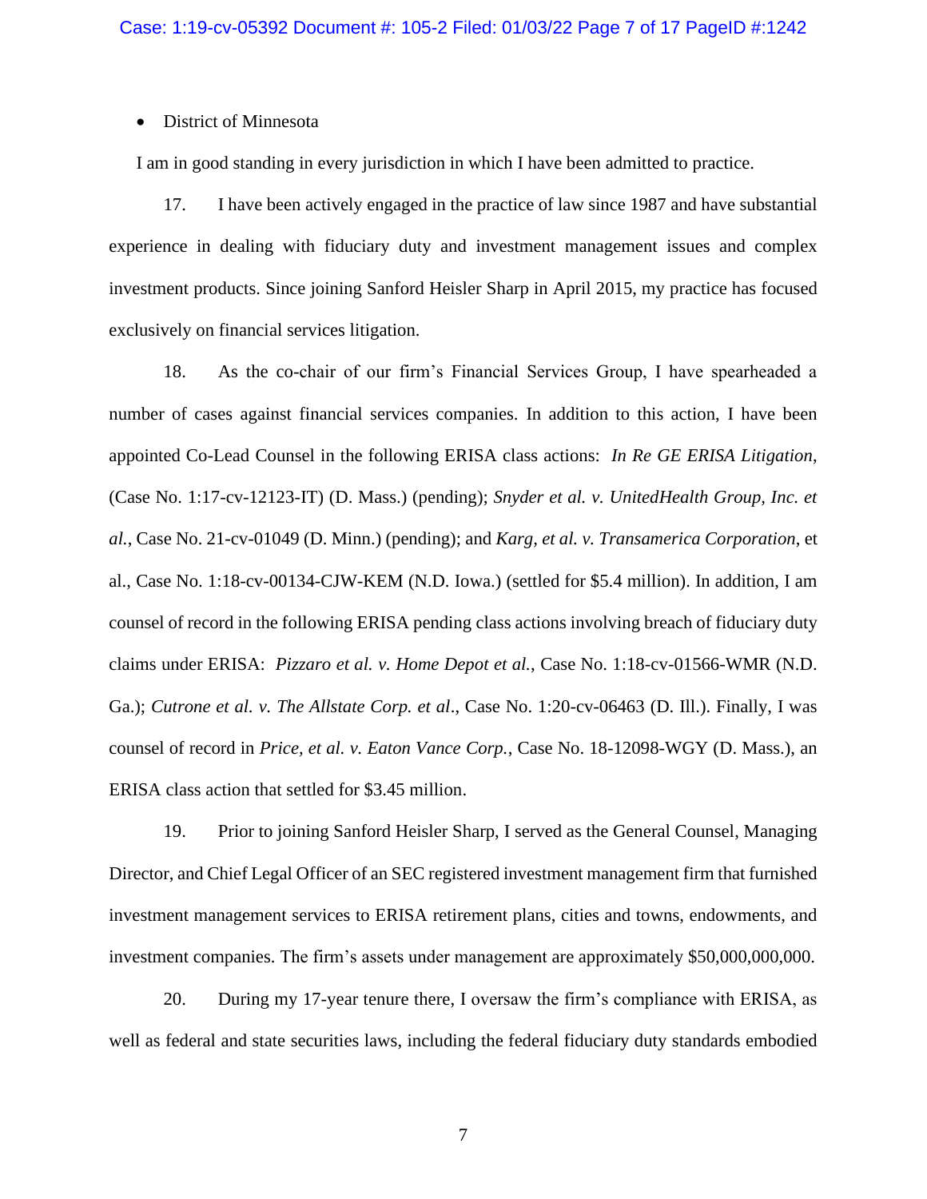### • District of Minnesota

I am in good standing in every jurisdiction in which I have been admitted to practice.

17. I have been actively engaged in the practice of law since 1987 and have substantial experience in dealing with fiduciary duty and investment management issues and complex investment products. Since joining Sanford Heisler Sharp in April 2015, my practice has focused exclusively on financial services litigation.

18. As the co-chair of our firm's Financial Services Group, I have spearheaded a number of cases against financial services companies. In addition to this action, I have been appointed Co-Lead Counsel in the following ERISA class actions: *In Re GE ERISA Litigation*, (Case No. 1:17-cv-12123-IT) (D. Mass.) (pending); *Snyder et al. v. UnitedHealth Group, Inc. et al.*, Case No. 21-cv-01049 (D. Minn.) (pending); and *Karg, et al. v. Transamerica Corporation*, et al., Case No. 1:18-cv-00134-CJW-KEM (N.D. Iowa.) (settled for \$5.4 million). In addition, I am counsel of record in the following ERISA pending class actions involving breach of fiduciary duty claims under ERISA: *Pizzaro et al. v. Home Depot et al.*, Case No. 1:18-cv-01566-WMR (N.D. Ga.); *Cutrone et al. v. The Allstate Corp. et al*., Case No. 1:20-cv-06463 (D. Ill.). Finally, I was counsel of record in *Price, et al. v. Eaton Vance Corp.*, Case No. 18-12098-WGY (D. Mass.), an ERISA class action that settled for \$3.45 million.

19. Prior to joining Sanford Heisler Sharp, I served as the General Counsel, Managing Director, and Chief Legal Officer of an SEC registered investment management firm that furnished investment management services to ERISA retirement plans, cities and towns, endowments, and investment companies. The firm's assets under management are approximately \$50,000,000,000.

20. During my 17-year tenure there, I oversaw the firm's compliance with ERISA, as well as federal and state securities laws, including the federal fiduciary duty standards embodied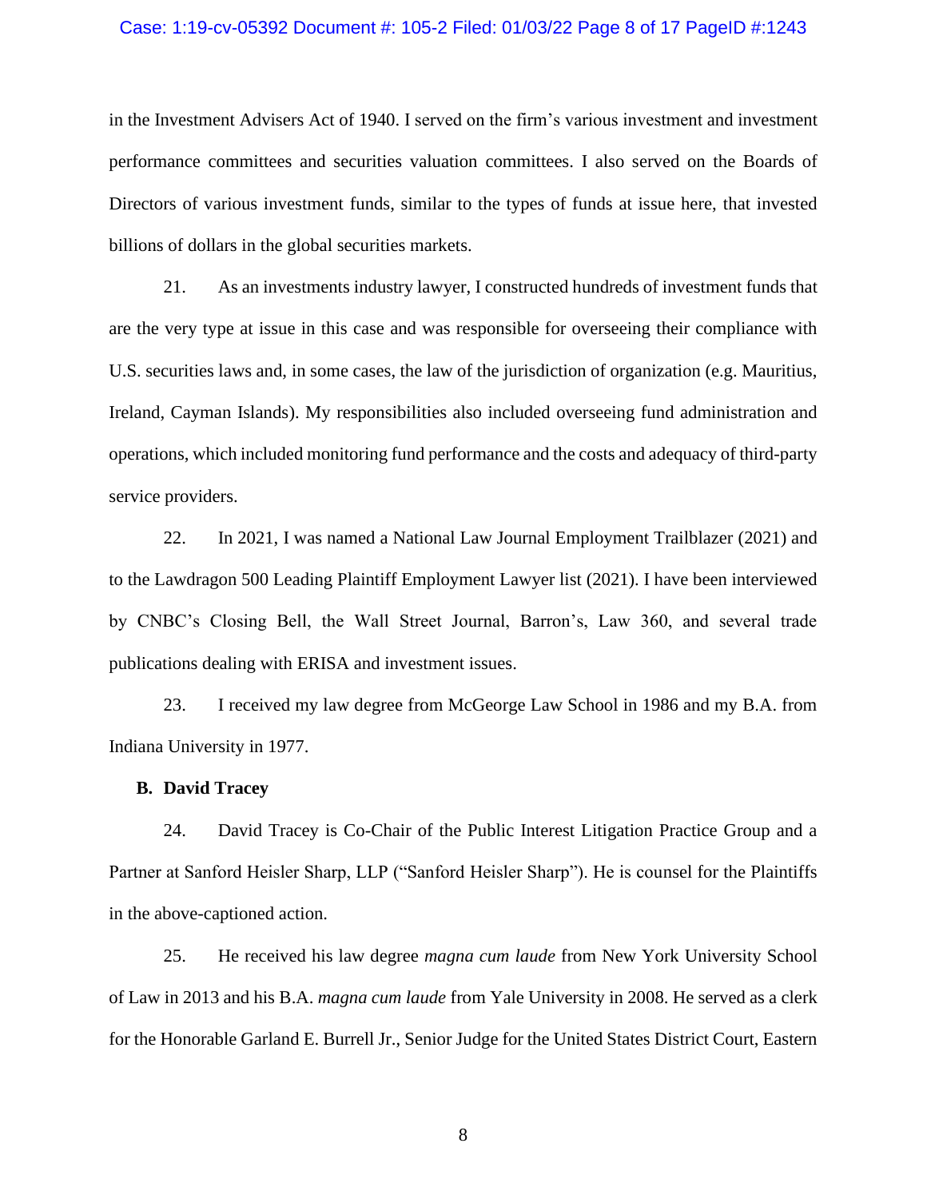### Case: 1:19-cv-05392 Document #: 105-2 Filed: 01/03/22 Page 8 of 17 PageID #:1243

in the Investment Advisers Act of 1940. I served on the firm's various investment and investment performance committees and securities valuation committees. I also served on the Boards of Directors of various investment funds, similar to the types of funds at issue here, that invested billions of dollars in the global securities markets.

21. As an investments industry lawyer, I constructed hundreds of investment funds that are the very type at issue in this case and was responsible for overseeing their compliance with U.S. securities laws and, in some cases, the law of the jurisdiction of organization (e.g. Mauritius, Ireland, Cayman Islands). My responsibilities also included overseeing fund administration and operations, which included monitoring fund performance and the costs and adequacy of third-party service providers.

22. In 2021, I was named a National Law Journal Employment Trailblazer (2021) and to the Lawdragon 500 Leading Plaintiff Employment Lawyer list (2021). I have been interviewed by CNBC's Closing Bell, the Wall Street Journal, Barron's, Law 360, and several trade publications dealing with ERISA and investment issues.

23. I received my law degree from McGeorge Law School in 1986 and my B.A. from Indiana University in 1977.

### **B. David Tracey**

24. David Tracey is Co-Chair of the Public Interest Litigation Practice Group and a Partner at Sanford Heisler Sharp, LLP ("Sanford Heisler Sharp"). He is counsel for the Plaintiffs in the above-captioned action.

25. He received his law degree *magna cum laude* from New York University School of Law in 2013 and his B.A. *magna cum laude* from Yale University in 2008. He served as a clerk for the Honorable Garland E. Burrell Jr., Senior Judge for the United States District Court, Eastern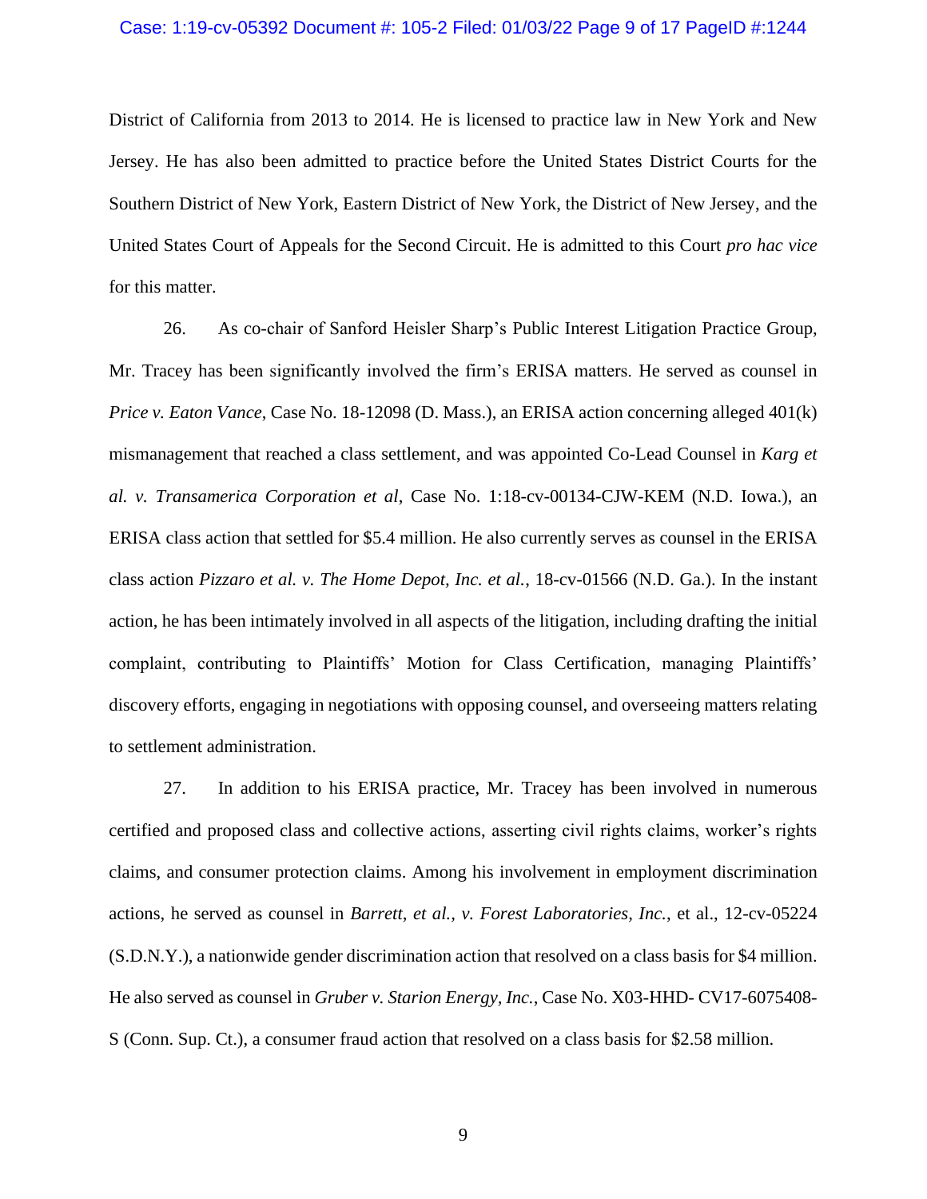### Case: 1:19-cv-05392 Document #: 105-2 Filed: 01/03/22 Page 9 of 17 PageID #:1244

District of California from 2013 to 2014. He is licensed to practice law in New York and New Jersey. He has also been admitted to practice before the United States District Courts for the Southern District of New York, Eastern District of New York, the District of New Jersey, and the United States Court of Appeals for the Second Circuit. He is admitted to this Court *pro hac vice* for this matter.

26. As co-chair of Sanford Heisler Sharp's Public Interest Litigation Practice Group, Mr. Tracey has been significantly involved the firm's ERISA matters. He served as counsel in *Price v. Eaton Vance*, Case No. 18-12098 (D. Mass.), an ERISA action concerning alleged 401(k) mismanagement that reached a class settlement, and was appointed Co-Lead Counsel in *Karg et al. v. Transamerica Corporation et al*, Case No. 1:18-cv-00134-CJW-KEM (N.D. Iowa.), an ERISA class action that settled for \$5.4 million. He also currently serves as counsel in the ERISA class action *Pizzaro et al. v. The Home Depot, Inc. et al.*, 18-cv-01566 (N.D. Ga.). In the instant action, he has been intimately involved in all aspects of the litigation, including drafting the initial complaint, contributing to Plaintiffs' Motion for Class Certification, managing Plaintiffs' discovery efforts, engaging in negotiations with opposing counsel, and overseeing matters relating to settlement administration.

27. In addition to his ERISA practice, Mr. Tracey has been involved in numerous certified and proposed class and collective actions, asserting civil rights claims, worker's rights claims, and consumer protection claims. Among his involvement in employment discrimination actions, he served as counsel in *Barrett, et al., v. Forest Laboratories, Inc.*, et al., 12-cv-05224 (S.D.N.Y.), a nationwide gender discrimination action that resolved on a class basis for \$4 million. He also served as counsel in *Gruber v. Starion Energy, Inc.*, Case No. X03-HHD- CV17-6075408- S (Conn. Sup. Ct.), a consumer fraud action that resolved on a class basis for \$2.58 million.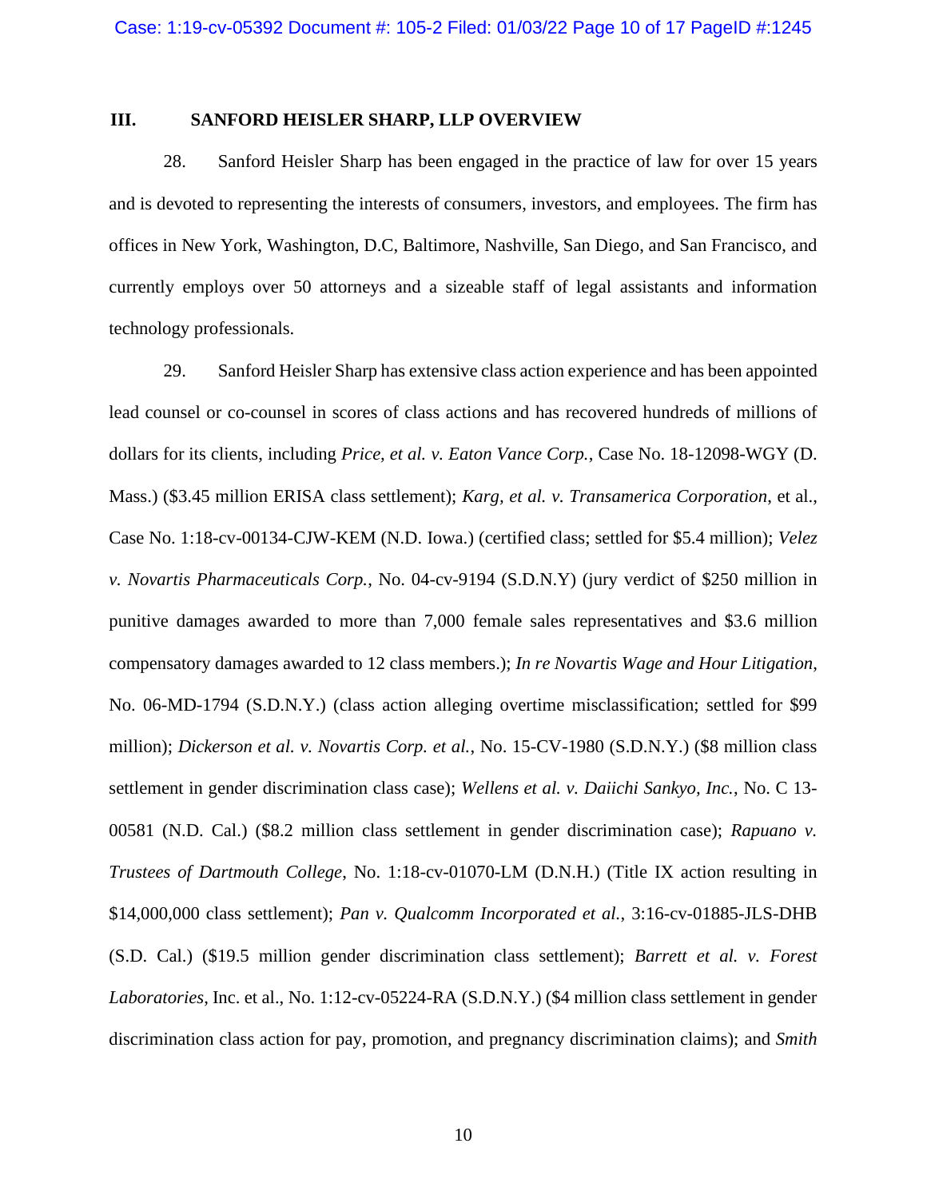### **III. SANFORD HEISLER SHARP, LLP OVERVIEW**

28. Sanford Heisler Sharp has been engaged in the practice of law for over 15 years and is devoted to representing the interests of consumers, investors, and employees. The firm has offices in New York, Washington, D.C, Baltimore, Nashville, San Diego, and San Francisco, and currently employs over 50 attorneys and a sizeable staff of legal assistants and information technology professionals.

29. Sanford Heisler Sharp has extensive class action experience and has been appointed lead counsel or co-counsel in scores of class actions and has recovered hundreds of millions of dollars for its clients, including *Price, et al. v. Eaton Vance Corp.*, Case No. 18-12098-WGY (D. Mass.) (\$3.45 million ERISA class settlement); *Karg, et al. v. Transamerica Corporation*, et al., Case No. 1:18-cv-00134-CJW-KEM (N.D. Iowa.) (certified class; settled for \$5.4 million); *Velez v. Novartis Pharmaceuticals Corp.*, No. 04-cv-9194 (S.D.N.Y) (jury verdict of \$250 million in punitive damages awarded to more than 7,000 female sales representatives and \$3.6 million compensatory damages awarded to 12 class members.); *In re Novartis Wage and Hour Litigation*, No. 06-MD-1794 (S.D.N.Y.) (class action alleging overtime misclassification; settled for \$99 million); *Dickerson et al. v. Novartis Corp. et al.*, No. 15-CV-1980 (S.D.N.Y.) (\$8 million class settlement in gender discrimination class case); *Wellens et al. v. Daiichi Sankyo, Inc.*, No. C 13- 00581 (N.D. Cal.) (\$8.2 million class settlement in gender discrimination case); *Rapuano v. Trustees of Dartmouth College*, No. 1:18-cv-01070-LM (D.N.H.) (Title IX action resulting in \$14,000,000 class settlement); *Pan v. Qualcomm Incorporated et al.*, 3:16-cv-01885-JLS-DHB (S.D. Cal.) (\$19.5 million gender discrimination class settlement); *Barrett et al. v. Forest Laboratories*, Inc. et al., No. 1:12-cv-05224-RA (S.D.N.Y.) (\$4 million class settlement in gender discrimination class action for pay, promotion, and pregnancy discrimination claims); and *Smith*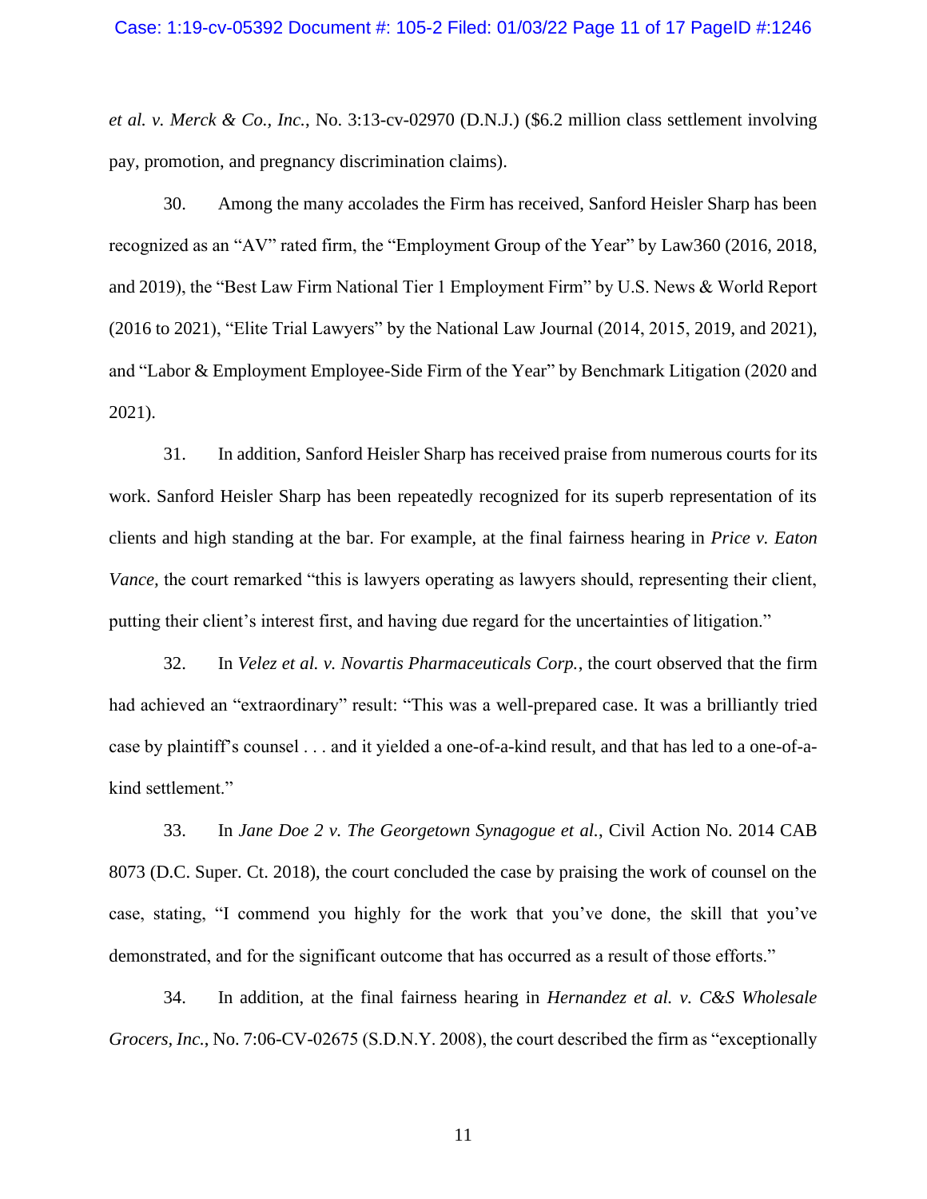*et al. v. Merck & Co., Inc.*, No. 3:13-cv-02970 (D.N.J.) (\$6.2 million class settlement involving pay, promotion, and pregnancy discrimination claims).

30. Among the many accolades the Firm has received, Sanford Heisler Sharp has been recognized as an "AV" rated firm, the "Employment Group of the Year" by Law360 (2016, 2018, and 2019), the "Best Law Firm National Tier 1 Employment Firm" by U.S. News & World Report (2016 to 2021), "Elite Trial Lawyers" by the National Law Journal (2014, 2015, 2019, and 2021), and "Labor & Employment Employee-Side Firm of the Year" by Benchmark Litigation (2020 and 2021).

31. In addition, Sanford Heisler Sharp has received praise from numerous courts for its work. Sanford Heisler Sharp has been repeatedly recognized for its superb representation of its clients and high standing at the bar. For example, at the final fairness hearing in *Price v. Eaton Vance*, the court remarked "this is lawyers operating as lawyers should, representing their client, putting their client's interest first, and having due regard for the uncertainties of litigation."

32. In *Velez et al. v. Novartis Pharmaceuticals Corp.*, the court observed that the firm had achieved an "extraordinary" result: "This was a well-prepared case. It was a brilliantly tried case by plaintiff's counsel . . . and it yielded a one-of-a-kind result, and that has led to a one-of-akind settlement."

33. In *Jane Doe 2 v. The Georgetown Synagogue et al.*, Civil Action No. 2014 CAB 8073 (D.C. Super. Ct. 2018), the court concluded the case by praising the work of counsel on the case, stating, "I commend you highly for the work that you've done, the skill that you've demonstrated, and for the significant outcome that has occurred as a result of those efforts."

34. In addition, at the final fairness hearing in *Hernandez et al. v. C&S Wholesale Grocers, Inc.*, No. 7:06-CV-02675 (S.D.N.Y. 2008), the court described the firm as "exceptionally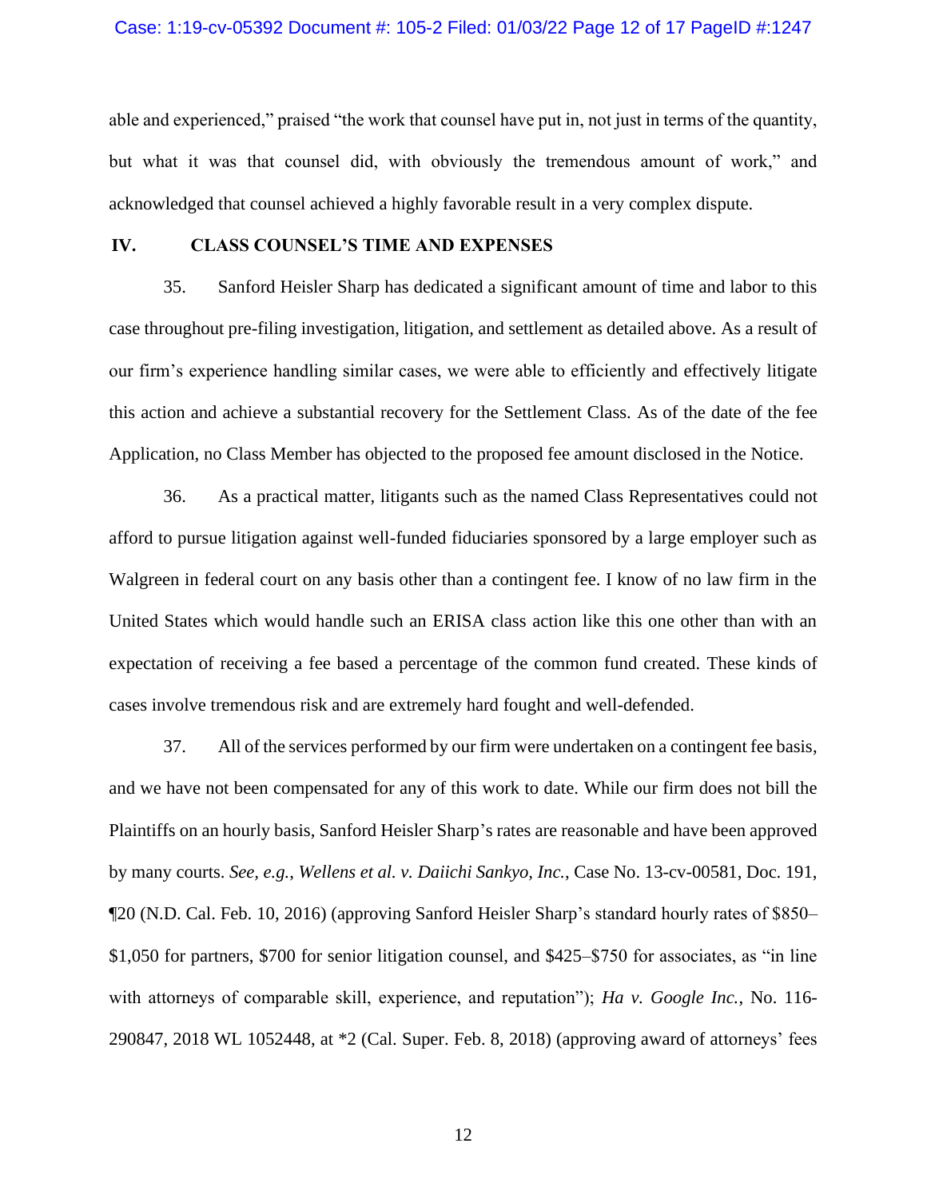### Case: 1:19-cv-05392 Document #: 105-2 Filed: 01/03/22 Page 12 of 17 PageID #:1247

able and experienced," praised "the work that counsel have put in, not just in terms of the quantity, but what it was that counsel did, with obviously the tremendous amount of work," and acknowledged that counsel achieved a highly favorable result in a very complex dispute.

### **IV. CLASS COUNSEL'S TIME AND EXPENSES**

35. Sanford Heisler Sharp has dedicated a significant amount of time and labor to this case throughout pre-filing investigation, litigation, and settlement as detailed above. As a result of our firm's experience handling similar cases, we were able to efficiently and effectively litigate this action and achieve a substantial recovery for the Settlement Class. As of the date of the fee Application, no Class Member has objected to the proposed fee amount disclosed in the Notice.

36. As a practical matter, litigants such as the named Class Representatives could not afford to pursue litigation against well-funded fiduciaries sponsored by a large employer such as Walgreen in federal court on any basis other than a contingent fee. I know of no law firm in the United States which would handle such an ERISA class action like this one other than with an expectation of receiving a fee based a percentage of the common fund created. These kinds of cases involve tremendous risk and are extremely hard fought and well-defended.

37. All of the services performed by our firm were undertaken on a contingent fee basis, and we have not been compensated for any of this work to date. While our firm does not bill the Plaintiffs on an hourly basis, Sanford Heisler Sharp's rates are reasonable and have been approved by many courts. *See, e.g.*, *Wellens et al. v. Daiichi Sankyo, Inc.*, Case No. 13-cv-00581, Doc. 191, ¶20 (N.D. Cal. Feb. 10, 2016) (approving Sanford Heisler Sharp's standard hourly rates of \$850– \$1,050 for partners, \$700 for senior litigation counsel, and \$425–\$750 for associates, as "in line with attorneys of comparable skill, experience, and reputation"); *Ha v. Google Inc.*, No. 116- 290847, 2018 WL 1052448, at \*2 (Cal. Super. Feb. 8, 2018) (approving award of attorneys' fees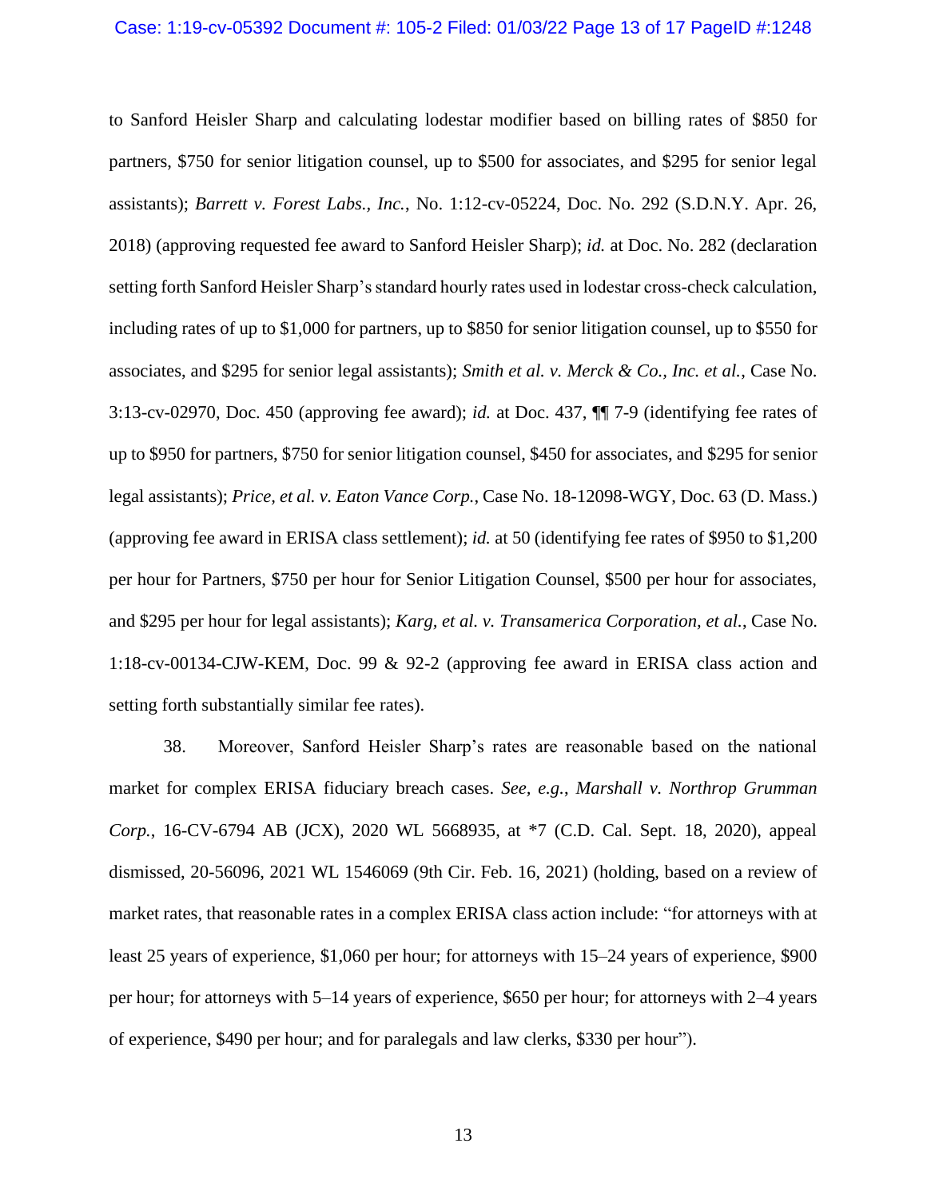to Sanford Heisler Sharp and calculating lodestar modifier based on billing rates of \$850 for partners, \$750 for senior litigation counsel, up to \$500 for associates, and \$295 for senior legal assistants); *Barrett v. Forest Labs., Inc.*, No. 1:12-cv-05224, Doc. No. 292 (S.D.N.Y. Apr. 26, 2018) (approving requested fee award to Sanford Heisler Sharp); *id.* at Doc. No. 282 (declaration setting forth Sanford Heisler Sharp's standard hourly rates used in lodestar cross-check calculation, including rates of up to \$1,000 for partners, up to \$850 for senior litigation counsel, up to \$550 for associates, and \$295 for senior legal assistants); *Smith et al. v. Merck & Co., Inc. et al.*, Case No. 3:13-cv-02970, Doc. 450 (approving fee award); *id.* at Doc. 437, ¶¶ 7-9 (identifying fee rates of up to \$950 for partners, \$750 for senior litigation counsel, \$450 for associates, and \$295 for senior legal assistants); *Price, et al. v. Eaton Vance Corp.*, Case No. 18-12098-WGY, Doc. 63 (D. Mass.) (approving fee award in ERISA class settlement); *id.* at 50 (identifying fee rates of \$950 to \$1,200 per hour for Partners, \$750 per hour for Senior Litigation Counsel, \$500 per hour for associates, and \$295 per hour for legal assistants); *Karg, et al. v. Transamerica Corporation, et al.*, Case No. 1:18-cv-00134-CJW-KEM, Doc. 99 & 92-2 (approving fee award in ERISA class action and setting forth substantially similar fee rates).

38. Moreover, Sanford Heisler Sharp's rates are reasonable based on the national market for complex ERISA fiduciary breach cases. *See, e.g.*, *Marshall v. Northrop Grumman Corp.*, 16-CV-6794 AB (JCX), 2020 WL 5668935, at \*7 (C.D. Cal. Sept. 18, 2020), appeal dismissed, 20-56096, 2021 WL 1546069 (9th Cir. Feb. 16, 2021) (holding, based on a review of market rates, that reasonable rates in a complex ERISA class action include: "for attorneys with at least 25 years of experience, \$1,060 per hour; for attorneys with 15–24 years of experience, \$900 per hour; for attorneys with 5–14 years of experience, \$650 per hour; for attorneys with 2–4 years of experience, \$490 per hour; and for paralegals and law clerks, \$330 per hour").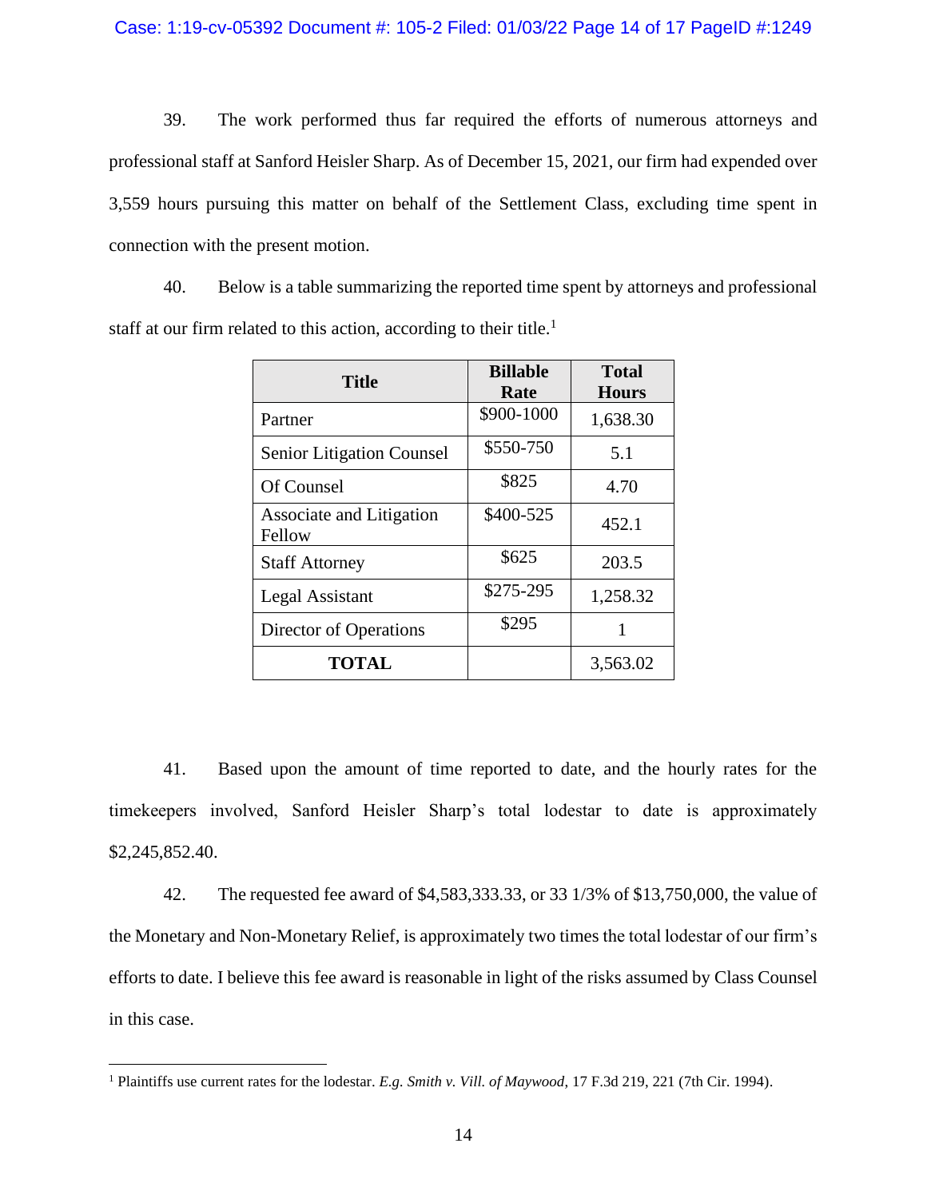39. The work performed thus far required the efforts of numerous attorneys and professional staff at Sanford Heisler Sharp. As of December 15, 2021, our firm had expended over 3,559 hours pursuing this matter on behalf of the Settlement Class, excluding time spent in connection with the present motion.

40. Below is a table summarizing the reported time spent by attorneys and professional staff at our firm related to this action, according to their title.<sup>1</sup>

| <b>Title</b>                       | <b>Billable</b><br>Rate | <b>Total</b><br><b>Hours</b> |
|------------------------------------|-------------------------|------------------------------|
| Partner                            | \$900-1000              | 1,638.30                     |
| <b>Senior Litigation Counsel</b>   | \$550-750               | 5.1                          |
| Of Counsel                         | \$825                   | 4.70                         |
| Associate and Litigation<br>Fellow | \$400-525               | 452.1                        |
| <b>Staff Attorney</b>              | \$625                   | 203.5                        |
| Legal Assistant                    | \$275-295               | 1,258.32                     |
| Director of Operations             | \$295                   | 1                            |
| <b>TOTAL</b>                       |                         | 3,563.02                     |

41. Based upon the amount of time reported to date, and the hourly rates for the timekeepers involved, Sanford Heisler Sharp's total lodestar to date is approximately \$2,245,852.40.

42. The requested fee award of \$4,583,333.33, or 33 1/3% of \$13,750,000, the value of the Monetary and Non-Monetary Relief, is approximately two times the total lodestar of our firm's efforts to date. I believe this fee award is reasonable in light of the risks assumed by Class Counsel in this case.

<sup>1</sup> Plaintiffs use current rates for the lodestar. *E.g. Smith v. Vill. of Maywood*, 17 F.3d 219, 221 (7th Cir. 1994).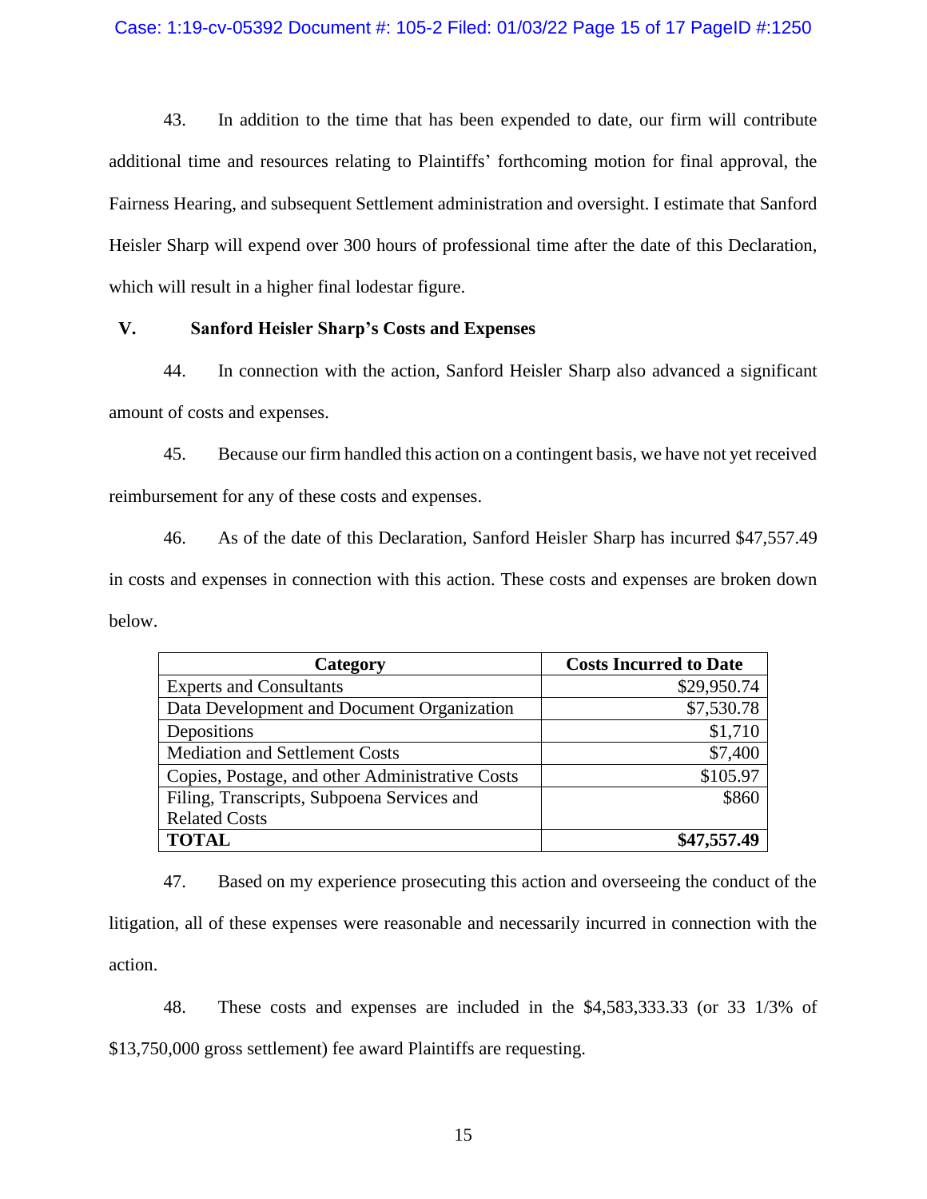43. In addition to the time that has been expended to date, our firm will contribute additional time and resources relating to Plaintiffs' forthcoming motion for final approval, the Fairness Hearing, and subsequent Settlement administration and oversight. I estimate that Sanford Heisler Sharp will expend over 300 hours of professional time after the date of this Declaration, which will result in a higher final lodestar figure.

## **V. Sanford Heisler Sharp's Costs and Expenses**

44. In connection with the action, Sanford Heisler Sharp also advanced a significant amount of costs and expenses.

45. Because our firm handled this action on a contingent basis, we have not yet received reimbursement for any of these costs and expenses.

46. As of the date of this Declaration, Sanford Heisler Sharp has incurred \$47,557.49 in costs and expenses in connection with this action. These costs and expenses are broken down below.

| Category                                        | <b>Costs Incurred to Date</b> |
|-------------------------------------------------|-------------------------------|
| <b>Experts and Consultants</b>                  | \$29,950.74                   |
| Data Development and Document Organization      | \$7,530.78                    |
| Depositions                                     | \$1,710                       |
| <b>Mediation and Settlement Costs</b>           | \$7,400                       |
| Copies, Postage, and other Administrative Costs | \$105.97                      |
| Filing, Transcripts, Subpoena Services and      | \$860                         |
| <b>Related Costs</b>                            |                               |
| <b>TOTAL</b>                                    | \$47,557.49                   |

47. Based on my experience prosecuting this action and overseeing the conduct of the litigation, all of these expenses were reasonable and necessarily incurred in connection with the action.

48. These costs and expenses are included in the \$4,583,333.33 (or 33 1/3% of \$13,750,000 gross settlement) fee award Plaintiffs are requesting.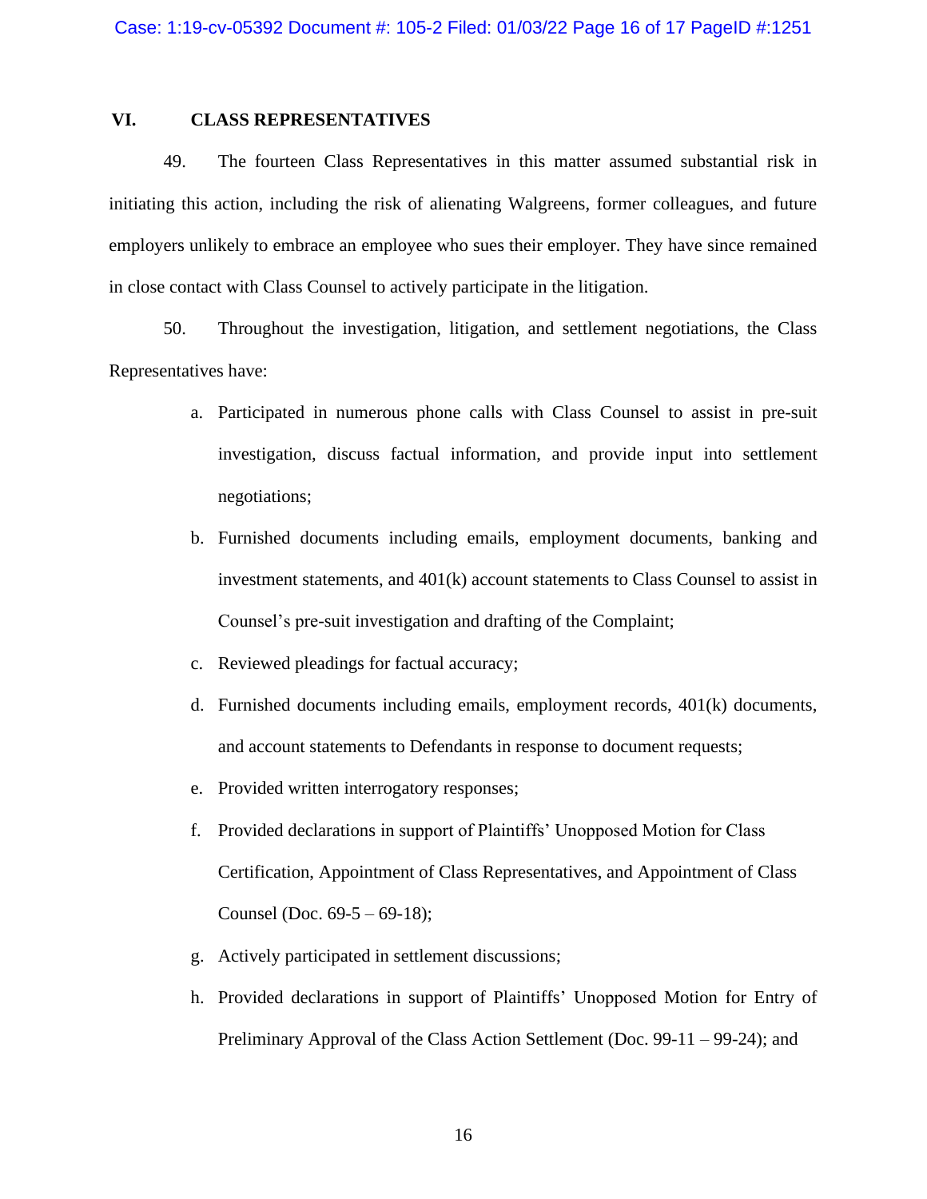## **VI. CLASS REPRESENTATIVES**

49. The fourteen Class Representatives in this matter assumed substantial risk in initiating this action, including the risk of alienating Walgreens, former colleagues, and future employers unlikely to embrace an employee who sues their employer. They have since remained in close contact with Class Counsel to actively participate in the litigation.

50. Throughout the investigation, litigation, and settlement negotiations, the Class Representatives have:

- a. Participated in numerous phone calls with Class Counsel to assist in pre-suit investigation, discuss factual information, and provide input into settlement negotiations;
- b. Furnished documents including emails, employment documents, banking and investment statements, and 401(k) account statements to Class Counsel to assist in Counsel's pre-suit investigation and drafting of the Complaint;
- c. Reviewed pleadings for factual accuracy;
- d. Furnished documents including emails, employment records, 401(k) documents, and account statements to Defendants in response to document requests;
- e. Provided written interrogatory responses;
- f. Provided declarations in support of Plaintiffs' Unopposed Motion for Class Certification, Appointment of Class Representatives, and Appointment of Class Counsel (Doc.  $69-5 - 69-18$ );
- g. Actively participated in settlement discussions;
- h. Provided declarations in support of Plaintiffs' Unopposed Motion for Entry of Preliminary Approval of the Class Action Settlement (Doc. 99-11 – 99-24); and